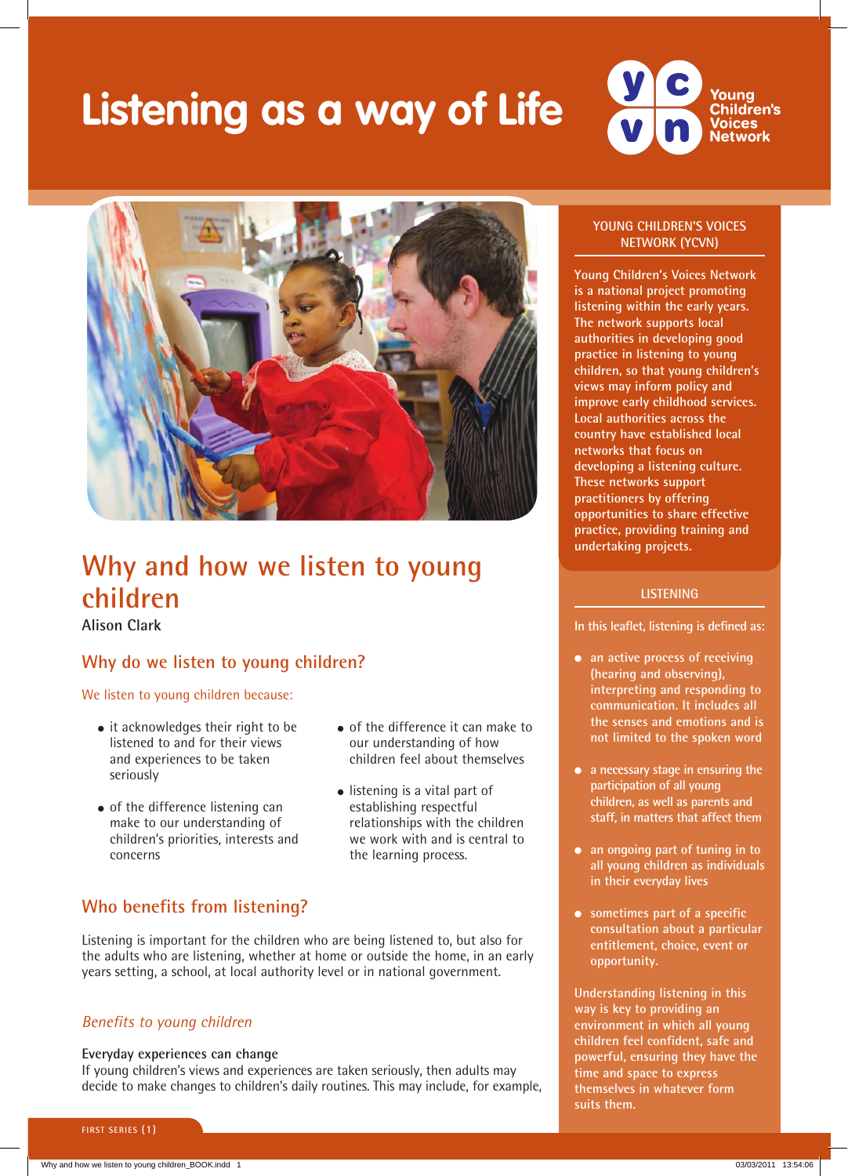# **Listening as a way of Life**





# **Why and how we listen to young children**

**Alison Clark**

# **Why do we listen to young children?**

#### We listen to young children because:

- it acknowledges their right to be listened to and for their views and experiences to be taken seriously
- of the difference listening can make to our understanding of children's priorities, interests and concerns
- of the difference it can make to our understanding of how children feel about themselves
- listening is a vital part of establishing respectful relationships with the children we work with and is central to the learning process.

# **Who benefits from listening?**

Listening is important for the children who are being listened to, but also for the adults who are listening, whether at home or outside the home, in an early years setting, a school, at local authority level or in national government.

### *Benefits to young children*

#### **Everyday experiences can change**

If young children's views and experiences are taken seriously, then adults may decide to make changes to children's daily routines. This may include, for example,

#### **YOUNG CHILDREN'S VOICES NETWORK (YCVN)**

**Young Children's Voices Network is a national project promoting listening within the early years. The network supports local authorities in developing good practice in listening to young children, so that young children's views may inform policy and improve early childhood services. Local authorities across the country have established local networks that focus on developing a listening culture. These networks support practitioners by offering opportunities to share effective practice, providing training and undertaking projects.** 

#### **LISTENING**

**In this leaflet, listening is defined as:**

- **an active process of receiving (hearing and observing), interpreting and responding to communication. It includes all the senses and emotions and is not limited to the spoken word**
- **a necessary stage in ensuring the participation of all young children, as well as parents and staff, in matters that affect them**
- **an ongoing part of tuning in to all young children as individuals in their everyday lives**
- **sometimes part of a specific consultation about a particular entitlement, choice, event or opportunity.**

**Understanding listening in this way is key to providing an environment in which all young children feel confident, safe and powerful, ensuring they have the time and space to express themselves in whatever form suits them.**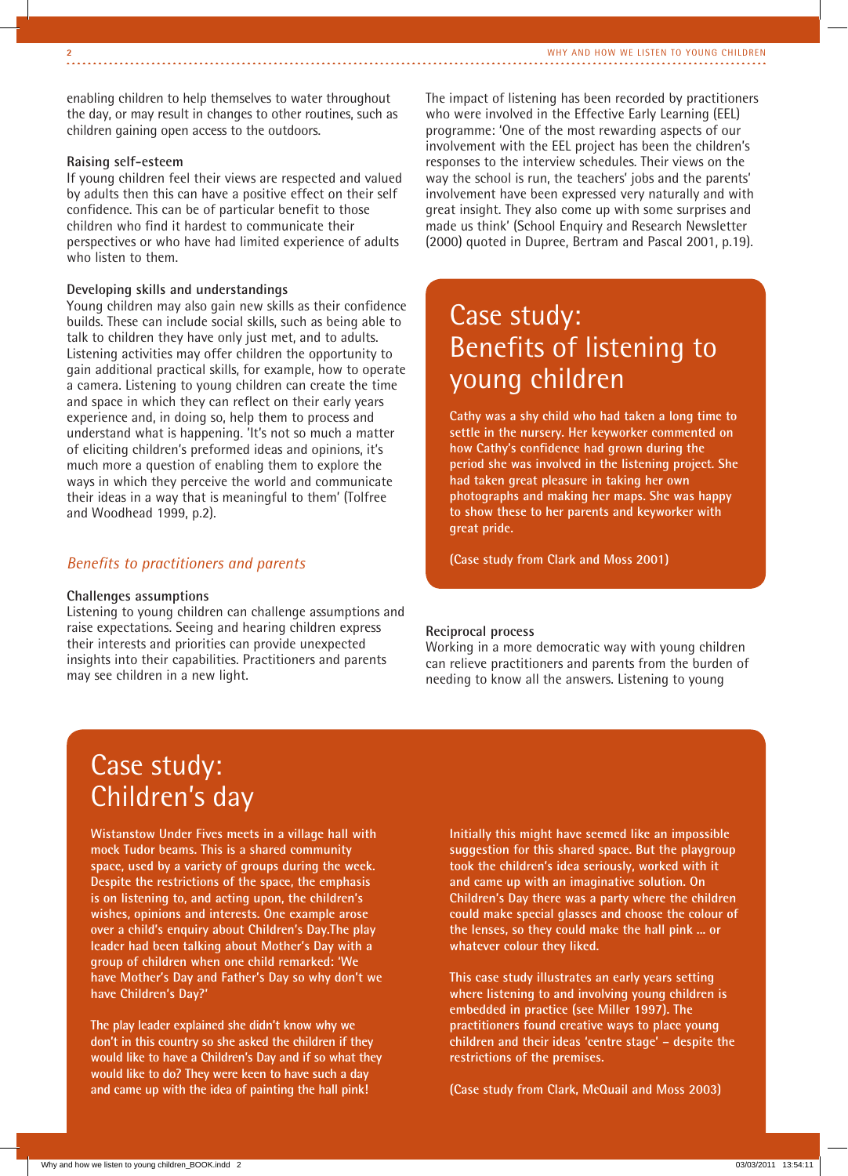enabling children to help themselves to water throughout the day, or may result in changes to other routines, such as children gaining open access to the outdoors.

#### **Raising self-esteem**

If young children feel their views are respected and valued by adults then this can have a positive effect on their self confidence. This can be of particular benefit to those children who find it hardest to communicate their perspectives or who have had limited experience of adults who listen to them.

#### **Developing skills and understandings**

Young children may also gain new skills as their confidence builds. These can include social skills, such as being able to talk to children they have only just met, and to adults. Listening activities may offer children the opportunity to gain additional practical skills, for example, how to operate a camera. Listening to young children can create the time and space in which they can reflect on their early years experience and, in doing so, help them to process and understand what is happening. 'It's not so much a matter of eliciting children's preformed ideas and opinions, it's much more a question of enabling them to explore the ways in which they perceive the world and communicate their ideas in a way that is meaningful to them' (Tolfree and Woodhead 1999, p.2).

#### *Benefits to practitioners and parents*

#### **Challenges assumptions**

Listening to young children can challenge assumptions and raise expectations. Seeing and hearing children express their interests and priorities can provide unexpected insights into their capabilities. Practitioners and parents may see children in a new light.

The impact of listening has been recorded by practitioners who were involved in the Effective Early Learning (EEL) programme: 'One of the most rewarding aspects of our involvement with the EEL project has been the children's responses to the interview schedules. Their views on the way the school is run, the teachers' jobs and the parents' involvement have been expressed very naturally and with great insight. They also come up with some surprises and made us think' (School Enquiry and Research Newsletter (2000) quoted in Dupree, Bertram and Pascal 2001, p.19).

# Case study: Benefits of listening to young children

**Cathy was a shy child who had taken a long time to settle in the nursery. Her keyworker commented on how Cathy's confidence had grown during the period she was involved in the listening project. She had taken great pleasure in taking her own photographs and making her maps. She was happy to show these to her parents and keyworker with great pride.**

**(Case study from Clark and Moss 2001)**

#### **Reciprocal process**

Working in a more democratic way with young children can relieve practitioners and parents from the burden of needing to know all the answers. Listening to young

# Case study: Children's day

**Wistanstow Under Fives meets in a village hall with mock Tudor beams. This is a shared community space, used by a variety of groups during the week. Despite the restrictions of the space, the emphasis is on listening to, and acting upon, the children's wishes, opinions and interests. One example arose over a child's enquiry about Children's Day.The play leader had been talking about Mother's Day with a group of children when one child remarked: 'We have Mother's Day and Father's Day so why don't we have Children's Day?'**

**The play leader explained she didn't know why we don't in this country so she asked the children if they would like to have a Children's Day and if so what they would like to do? They were keen to have such a day and came up with the idea of painting the hall pink!**

**Initially this might have seemed like an impossible suggestion for this shared space. But the playgroup took the children's idea seriously, worked with it and came up with an imaginative solution. On Children's Day there was a party where the children could make special glasses and choose the colour of the lenses, so they could make the hall pink ... or whatever colour they liked.**

**This case study illustrates an early years setting where listening to and involving young children is embedded in practice (see Miller 1997). The practitioners found creative ways to place young children and their ideas 'centre stage' – despite the restrictions of the premises.**

**(Case study from Clark, McQuail and Moss 2003)**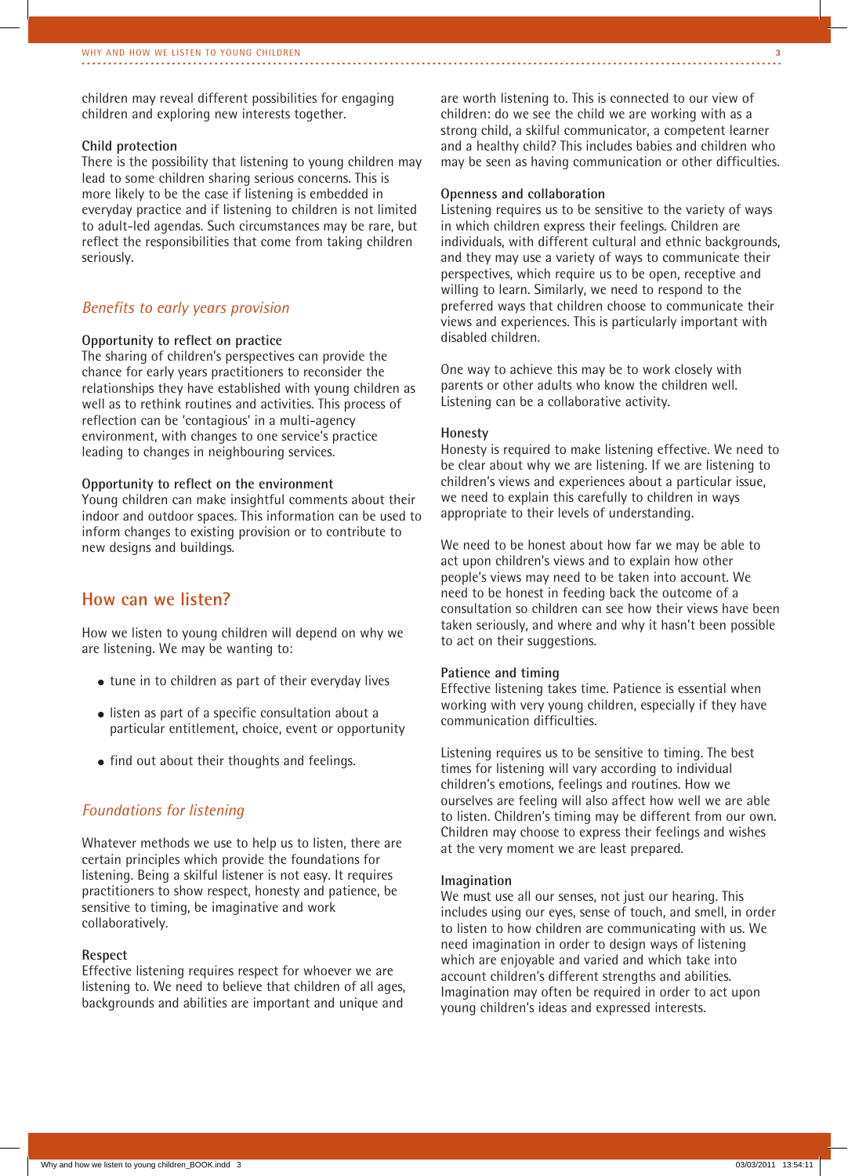children may reveal different possibilities for engaging children and exploring new interests together.

#### **Child protection**

There is the possibility that listening to young children may lead to some children sharing serious concerns. This is more likely to be the case if listening is embedded in everyday practice and if listening to children is not limited to adult-led agendas. Such circumstances may be rare, but reflect the responsibilities that come from taking children seriously.

#### *Benefits to early years provision*

#### **Opportunity to reflect on practice**

The sharing of children's perspectives can provide the chance for early years practitioners to reconsider the relationships they have established with young children as well as to rethink routines and activities. This process of reflection can be 'contagious' in a multi-agency environment, with changes to one service's practice leading to changes in neighbouring services.

#### **Opportunity to reflect on the environment**

Young children can make insightful comments about their indoor and outdoor spaces. This information can be used to inform changes to existing provision or to contribute to new designs and buildings.

### **How can we listen?**

How we listen to young children will depend on why we are listening. We may be wanting to:

- tune in to children as part of their everyday lives
- listen as part of a specific consultation about a particular entitlement, choice, event or opportunity
- find out about their thoughts and feelings.

#### *Foundations for listening*

Whatever methods we use to help us to listen, there are certain principles which provide the foundations for listening. Being a skilful listener is not easy. It requires practitioners to show respect, honesty and patience, be sensitive to timing, be imaginative and work collaboratively.

#### **Respect**

Effective listening requires respect for whoever we are listening to. We need to believe that children of all ages, backgrounds and abilities are important and unique and

are worth listening to. This is connected to our view of children: do we see the child we are working with as a strong child, a skilful communicator, a competent learner and a healthy child? This includes babies and children who may be seen as having communication or other difficulties.

#### **Openness and collaboration**

Listening requires us to be sensitive to the variety of ways in which children express their feelings. Children are individuals, with different cultural and ethnic backgrounds, and they may use a variety of ways to communicate their perspectives, which require us to be open, receptive and willing to learn. Similarly, we need to respond to the preferred ways that children choose to communicate their views and experiences. This is particularly important with disabled children.

One way to achieve this may be to work closely with parents or other adults who know the children well. Listening can be a collaborative activity.

#### **Honesty**

Honesty is required to make listening effective. We need to be clear about why we are listening. If we are listening to children's views and experiences about a particular issue, we need to explain this carefully to children in ways appropriate to their levels of understanding.

We need to be honest about how far we may be able to act upon children's views and to explain how other people's views may need to be taken into account. We need to be honest in feeding back the outcome of a consultation so children can see how their views have been taken seriously, and where and why it hasn't been possible to act on their suggestions.

#### **Patience and timing**

Effective listening takes time. Patience is essential when working with very young children, especially if they have communication difficulties.

Listening requires us to be sensitive to timing. The best times for listening will vary according to individual children's emotions, feelings and routines. How we ourselves are feeling will also affect how well we are able to listen. Children's timing may be different from our own. Children may choose to express their feelings and wishes at the very moment we are least prepared.

#### **Imagination**

We must use all our senses, not just our hearing. This includes using our eyes, sense of touch, and smell, in order to listen to how children are communicating with us. We need imagination in order to design ways of listening which are enjoyable and varied and which take into account children's different strengths and abilities. Imagination may often be required in order to act upon young children's ideas and expressed interests.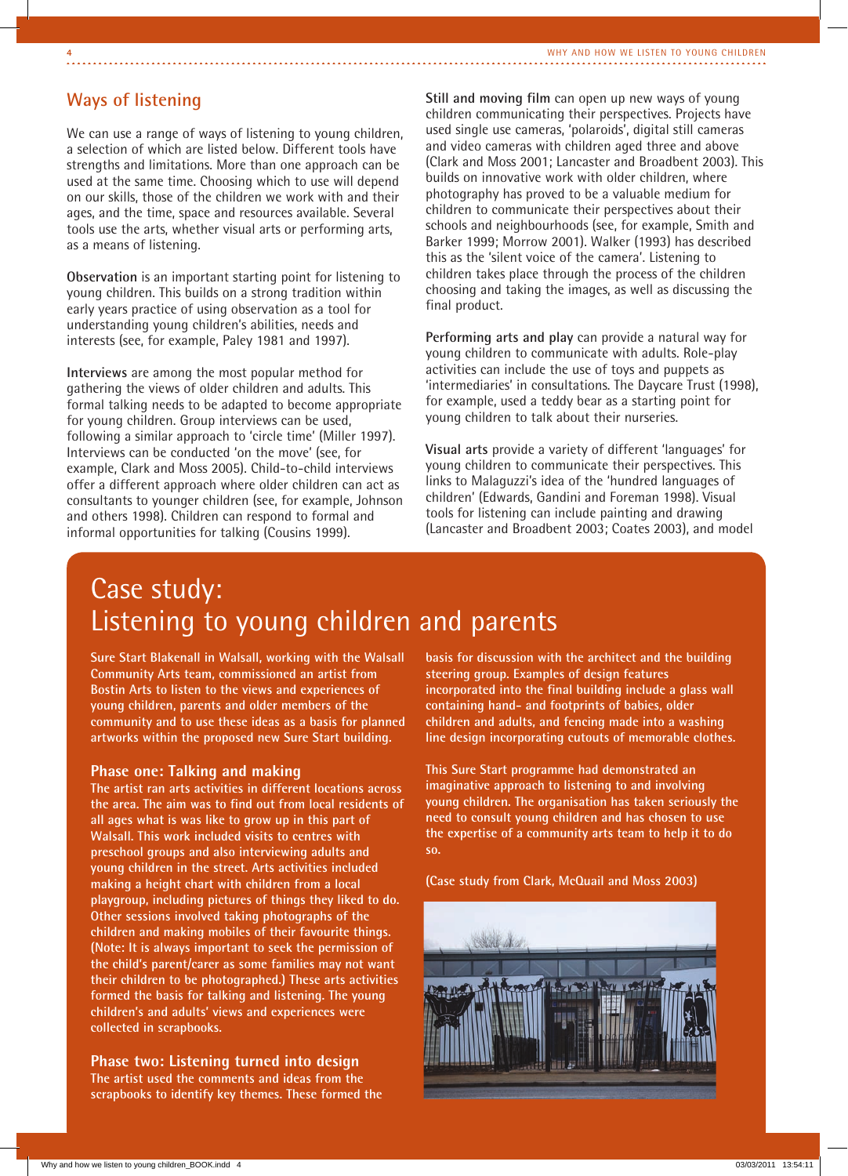# **Ways of listening**

We can use a range of ways of listening to young children, a selection of which are listed below. Different tools have strengths and limitations. More than one approach can be used at the same time. Choosing which to use will depend on our skills, those of the children we work with and their ages, and the time, space and resources available. Several tools use the arts, whether visual arts or performing arts, as a means of listening.

**Observation** is an important starting point for listening to young children. This builds on a strong tradition within early years practice of using observation as a tool for understanding young children's abilities, needs and interests (see, for example, Paley 1981 and 1997).

**Interviews** are among the most popular method for gathering the views of older children and adults. This formal talking needs to be adapted to become appropriate for young children. Group interviews can be used, following a similar approach to 'circle time' (Miller 1997). Interviews can be conducted 'on the move' (see, for example, Clark and Moss 2005). Child-to-child interviews offer a different approach where older children can act as consultants to younger children (see, for example, Johnson and others 1998). Children can respond to formal and informal opportunities for talking (Cousins 1999).

**Still and moving film** can open up new ways of young children communicating their perspectives. Projects have used single use cameras, 'polaroids', digital still cameras and video cameras with children aged three and above (Clark and Moss 2001; Lancaster and Broadbent 2003). This builds on innovative work with older children, where photography has proved to be a valuable medium for children to communicate their perspectives about their schools and neighbourhoods (see, for example, Smith and Barker 1999; Morrow 2001). Walker (1993) has described this as the 'silent voice of the camera'. Listening to children takes place through the process of the children choosing and taking the images, as well as discussing the final product.

**Performing arts and play** can provide a natural way for young children to communicate with adults. Role-play activities can include the use of toys and puppets as 'intermediaries' in consultations. The Daycare Trust (1998), for example, used a teddy bear as a starting point for young children to talk about their nurseries.

**Visual arts** provide a variety of different 'languages' for young children to communicate their perspectives. This links to Malaguzzi's idea of the 'hundred languages of children' (Edwards, Gandini and Foreman 1998). Visual tools for listening can include painting and drawing (Lancaster and Broadbent 2003; Coates 2003), and model

# Case study: Listening to young children and parents

**Sure Start Blakenall in Walsall, working with the Walsall Community Arts team, commissioned an artist from Bostin Arts to listen to the views and experiences of young children, parents and older members of the community and to use these ideas as a basis for planned artworks within the proposed new Sure Start building.**

#### **Phase one: Talking and making**

**The artist ran arts activities in different locations across the area. The aim was to find out from local residents of all ages what is was like to grow up in this part of Walsall. This work included visits to centres with preschool groups and also interviewing adults and young children in the street. Arts activities included making a height chart with children from a local playgroup, including pictures of things they liked to do. Other sessions involved taking photographs of the children and making mobiles of their favourite things. (Note: It is always important to seek the permission of the child's parent/carer as some families may not want their children to be photographed.) These arts activities formed the basis for talking and listening. The young children's and adults' views and experiences were collected in scrapbooks.**

**Phase two: Listening turned into design The artist used the comments and ideas from the scrapbooks to identify key themes. These formed the**  **basis for discussion with the architect and the building steering group. Examples of design features incorporated into the final building include a glass wall containing hand- and footprints of babies, older children and adults, and fencing made into a washing line design incorporating cutouts of memorable clothes.** 

**This Sure Start programme had demonstrated an imaginative approach to listening to and involving young children. The organisation has taken seriously the need to consult young children and has chosen to use the expertise of a community arts team to help it to do so.**

**(Case study from Clark, McQuail and Moss 2003)**

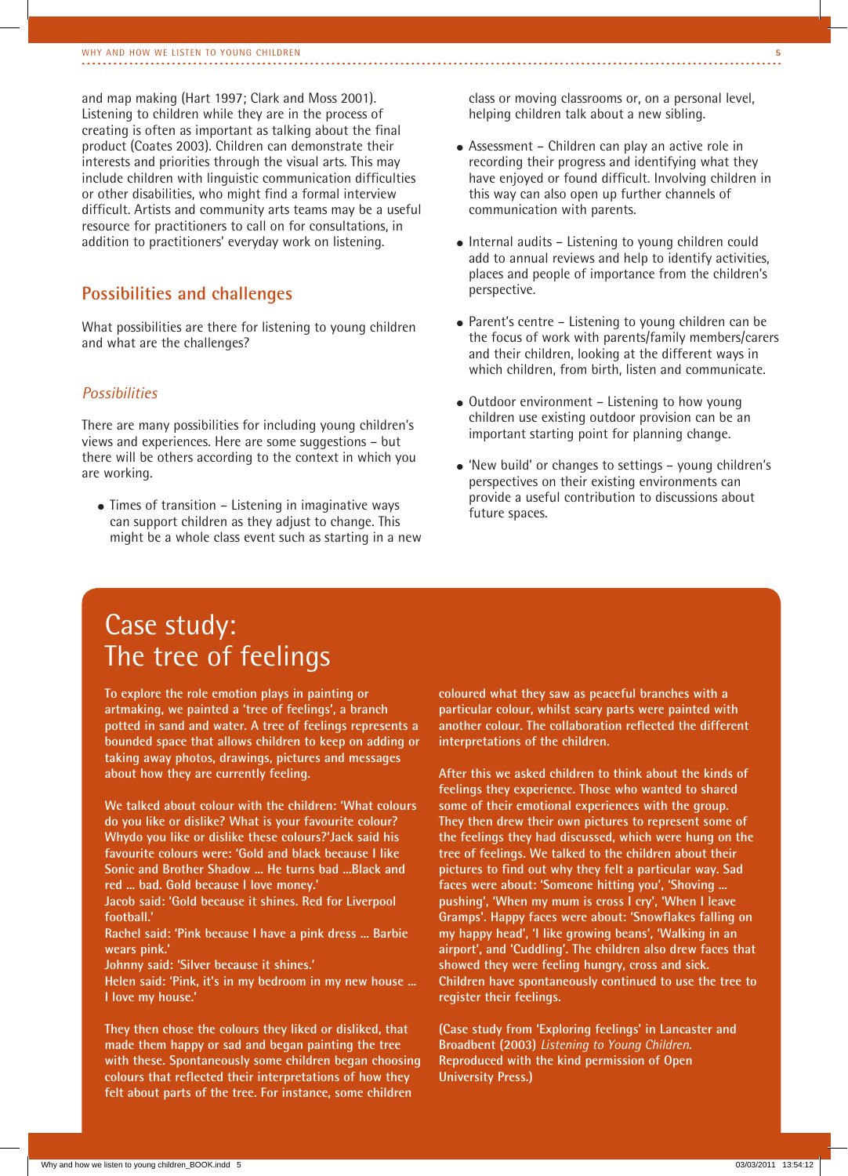and map making (Hart 1997; Clark and Moss 2001). Listening to children while they are in the process of creating is often as important as talking about the final product (Coates 2003). Children can demonstrate their interests and priorities through the visual arts. This may include children with linguistic communication difficulties or other disabilities, who might find a formal interview difficult. Artists and community arts teams may be a useful resource for practitioners to call on for consultations, in addition to practitioners' everyday work on listening.

### **Possibilities and challenges**

What possibilities are there for listening to young children and what are the challenges?

#### *Possibilities*

There are many possibilities for including young children's views and experiences. Here are some suggestions – but there will be others according to the context in which you are working.

 $\bullet$  Times of transition – Listening in imaginative ways can support children as they adjust to change. This might be a whole class event such as starting in a new class or moving classrooms or, on a personal level, helping children talk about a new sibling.

- Assessment Children can play an active role in recording their progress and identifying what they have enjoyed or found difficult. Involving children in this way can also open up further channels of communication with parents.
- Internal audits Listening to young children could add to annual reviews and help to identify activities, places and people of importance from the children's perspective.
- $\bullet$  Parent's centre Listening to young children can be the focus of work with parents/family members/carers and their children, looking at the different ways in which children, from birth, listen and communicate.
- Outdoor environment Listening to how young children use existing outdoor provision can be an important starting point for planning change.
- 'New build' or changes to settings young children's perspectives on their existing environments can provide a useful contribution to discussions about future spaces.

# Case study: The tree of feelings

**To explore the role emotion plays in painting or artmaking, we painted a 'tree of feelings', a branch potted in sand and water. A tree of feelings represents a bounded space that allows children to keep on adding or taking away photos, drawings, pictures and messages about how they are currently feeling.**

**We talked about colour with the children: 'What colours do you like or dislike? What is your favourite colour? Whydo you like or dislike these colours?'Jack said his favourite colours were: 'Gold and black because I like Sonic and Brother Shadow ... He turns bad ...Black and red ... bad. Gold because I love money.'**

**Jacob said: 'Gold because it shines. Red for Liverpool football.'**

**Rachel said: 'Pink because I have a pink dress ... Barbie wears pink.'**

**Johnny said: 'Silver because it shines.'**

**Helen said: 'Pink, it's in my bedroom in my new house ... I love my house.'**

**They then chose the colours they liked or disliked, that made them happy or sad and began painting the tree with these. Spontaneously some children began choosing colours that reflected their interpretations of how they felt about parts of the tree. For instance, some children** 

**coloured what they saw as peaceful branches with a particular colour, whilst scary parts were painted with another colour. The collaboration reflected the different interpretations of the children.**

**After this we asked children to think about the kinds of feelings they experience. Those who wanted to shared some of their emotional experiences with the group. They then drew their own pictures to represent some of the feelings they had discussed, which were hung on the tree of feelings. We talked to the children about their pictures to find out why they felt a particular way. Sad faces were about: 'Someone hitting you', 'Shoving ... pushing', 'When my mum is cross I cry', 'When I leave Gramps'. Happy faces were about: 'Snowflakes falling on my happy head', 'I like growing beans', 'Walking in an airport', and 'Cuddling'. The children also drew faces that showed they were feeling hungry, cross and sick. Children have spontaneously continued to use the tree to register their feelings.**

**(Case study from 'Exploring feelings' in Lancaster and Broadbent (2003)** *Listening to Young Children***. Reproduced with the kind permission of Open University Press.)**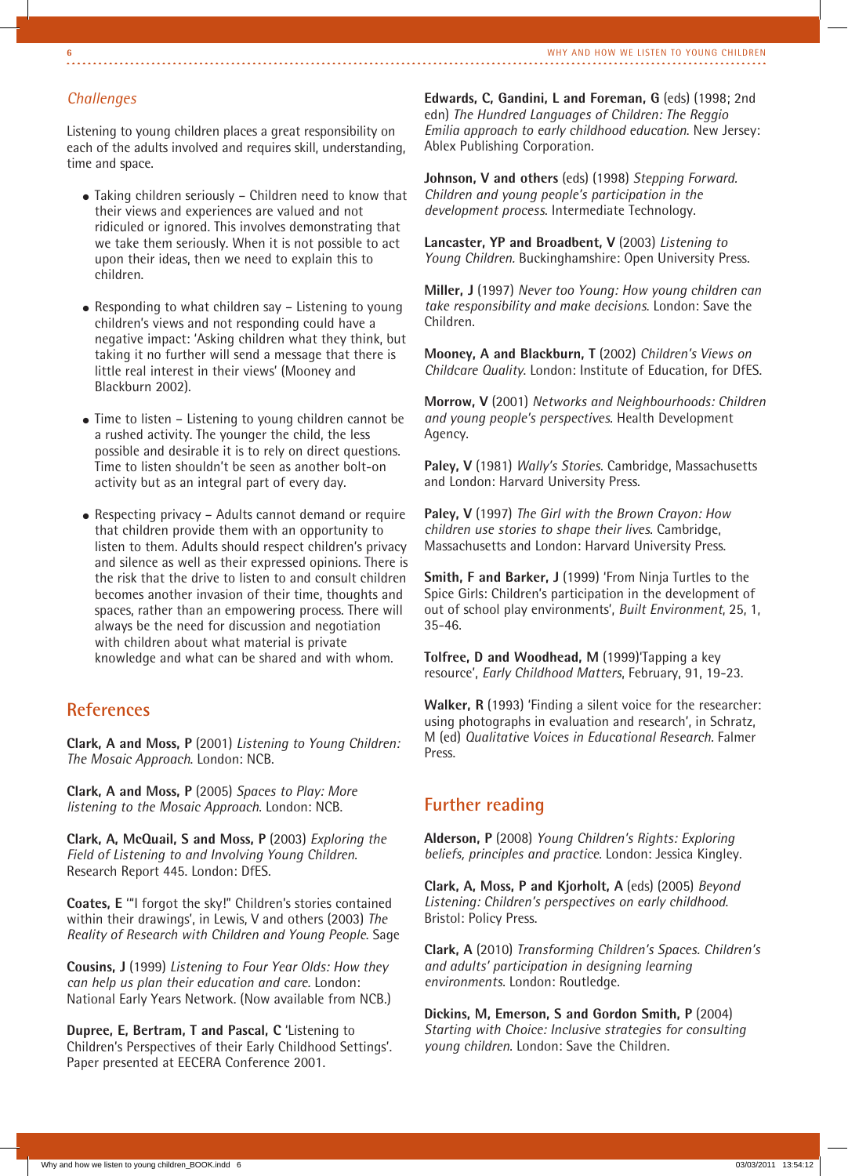### *Challenges*

Listening to young children places a great responsibility on each of the adults involved and requires skill, understanding, time and space.

- Taking children seriously Children need to know that their views and experiences are valued and not ridiculed or ignored. This involves demonstrating that we take them seriously. When it is not possible to act upon their ideas, then we need to explain this to children.
- Responding to what children say Listening to young children's views and not responding could have a negative impact: 'Asking children what they think, but taking it no further will send a message that there is little real interest in their views' (Mooney and Blackburn 2002).
- Time to listen Listening to young children cannot be a rushed activity. The younger the child, the less possible and desirable it is to rely on direct questions. Time to listen shouldn't be seen as another bolt-on activity but as an integral part of every day.
- Respecting privacy Adults cannot demand or require that children provide them with an opportunity to listen to them. Adults should respect children's privacy and silence as well as their expressed opinions. There is the risk that the drive to listen to and consult children becomes another invasion of their time, thoughts and spaces, rather than an empowering process. There will always be the need for discussion and negotiation with children about what material is private knowledge and what can be shared and with whom.

# **References**

**Clark, A and Moss, P** (2001) *Listening to Young Children: The Mosaic Approach*. London: NCB.

**Clark, A and Moss, P** (2005) *Spaces to Play: More listening to the Mosaic Approach*. London: NCB.

**Clark, A, McQuail, S and Moss, P** (2003) *Exploring the Field of Listening to and Involving Young Children*. Research Report 445. London: DfES.

**Coates, E** '"I forgot the sky!" Children's stories contained within their drawings', in Lewis, V and others (2003) *The Reality of Research with Children and Young People*. Sage

**Cousins, J** (1999) *Listening to Four Year Olds: How they can help us plan their education and care.* London: National Early Years Network. (Now available from NCB.)

**Dupree, E, Bertram, T and Pascal, C** 'Listening to Children's Perspectives of their Early Childhood Settings'. Paper presented at EECERA Conference 2001.

**Edwards, C, Gandini, L and Foreman, G** (eds) (1998; 2nd edn) *The Hundred Languages of Children: The Reggio Emilia approach to early childhood education*. New Jersey: Ablex Publishing Corporation.

**Johnson, V and others** (eds) (1998) *Stepping Forward. Children and young people's participation in the development process*. Intermediate Technology.

**Lancaster, YP and Broadbent, V** (2003) *Listening to Young Children.* Buckinghamshire: Open University Press.

**Miller, J** (1997) *Never too Young: How young children can take responsibility and make decisions*. London: Save the Children.

**Mooney, A and Blackburn, T** (2002) *Children's Views on Childcare Quality*. London: Institute of Education, for DfES.

**Morrow, V** (2001) *Networks and Neighbourhoods: Children and young people's perspectives*. Health Development Agency.

**Paley, V** (1981) *Wally's Stories*. Cambridge, Massachusetts and London: Harvard University Press.

**Paley, V** (1997) *The Girl with the Brown Crayon: How children use stories to shape their lives*. Cambridge, Massachusetts and London: Harvard University Press.

**Smith, F and Barker, J** (1999) 'From Ninja Turtles to the Spice Girls: Children's participation in the development of out of school play environments', *Built Environment*, 25, 1, 35-46.

**Tolfree, D and Woodhead, M** (1999)'Tapping a key resource', *Early Childhood Matters*, February, 91, 19-23.

**Walker, R** (1993) 'Finding a silent voice for the researcher: using photographs in evaluation and research', in Schratz, M (ed) *Qualitative Voices in Educational Research.* Falmer Press.

### **Further reading**

**Alderson, P** (2008) *Young Children's Rights: Exploring beliefs, principles and practice*. London: Jessica Kingley.

**Clark, A, Moss, P and Kjorholt, A** (eds) (2005) *Beyond Listening: Children's perspectives on early childhood*. Bristol: Policy Press.

**Clark, A** (2010) *Transforming Children's Spaces. Children's and adults' participation in designing learning environments*. London: Routledge.

**Dickins, M, Emerson, S and Gordon Smith, P** (2004) *Starting with Choice: Inclusive strategies for consulting young children*. London: Save the Children.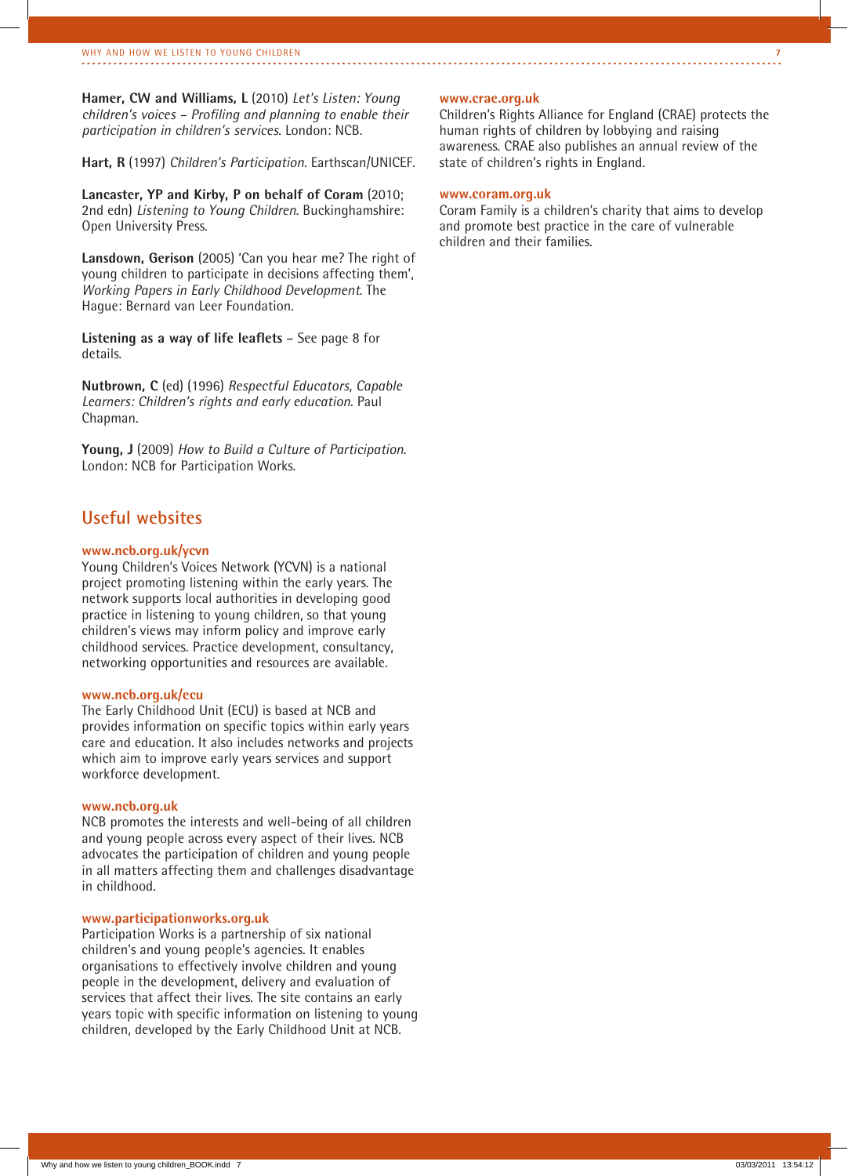**Hamer, CW and Williams, L** (2010) *Let's Listen: Young children's voices – Profiling and planning to enable their participation in children's services*. London: NCB.

**Hart, R** (1997) *Children's Participation*. Earthscan/UNICEF.

**Lancaster, YP and Kirby, P on behalf of Coram** (2010; 2nd edn) *Listening to Young Children*. Buckinghamshire: Open University Press.

**Lansdown, Gerison** (2005) 'Can you hear me? The right of young children to participate in decisions affecting them', *Working Papers in Early Childhood Development*. The Hague: Bernard van Leer Foundation.

**Listening as a way of life leaflets** – See page 8 for details.

**Nutbrown, C** (ed) (1996) *Respectful Educators, Capable Learners: Children's rights and early education*. Paul Chapman.

**Young, J** (2009) *How to Build a Culture of Participation*. London: NCB for Participation Works.

# **Useful websites**

#### **www.ncb.org.uk/ycvn**

Young Children's Voices Network (YCVN) is a national project promoting listening within the early years. The network supports local authorities in developing good practice in listening to young children, so that young children's views may inform policy and improve early childhood services. Practice development, consultancy, networking opportunities and resources are available.

#### **www.ncb.org.uk/ecu**

The Early Childhood Unit (ECU) is based at NCB and provides information on specific topics within early years care and education. It also includes networks and projects which aim to improve early years services and support workforce development.

#### **www.ncb.org.uk**

NCB promotes the interests and well-being of all children and young people across every aspect of their lives. NCB advocates the participation of children and young people in all matters affecting them and challenges disadvantage in childhood.

#### **www.participationworks.org.uk**

Participation Works is a partnership of six national children's and young people's agencies. It enables organisations to effectively involve children and young people in the development, delivery and evaluation of services that affect their lives. The site contains an early years topic with specific information on listening to young children, developed by the Early Childhood Unit at NCB.

#### **www.crae.org.uk**

Children's Rights Alliance for England (CRAE) protects the human rights of children by lobbying and raising awareness. CRAE also publishes an annual review of the state of children's rights in England.

#### **www.coram.org.uk**

Coram Family is a children's charity that aims to develop and promote best practice in the care of vulnerable children and their families.